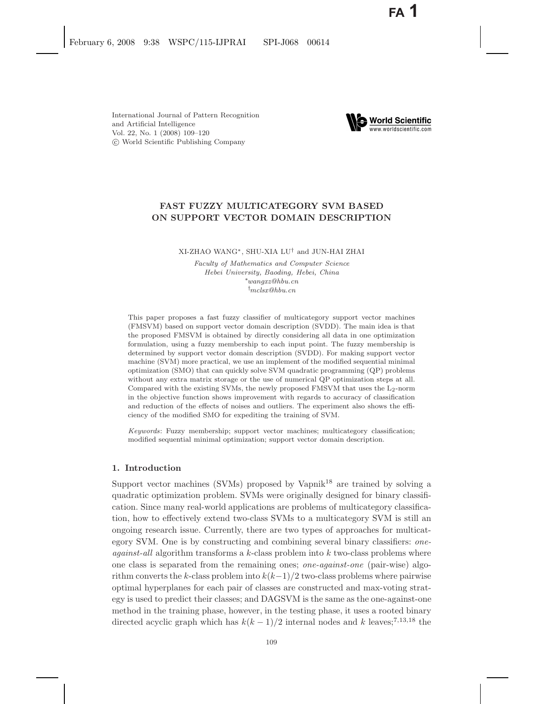International Journal of Pattern Recognition and Artificial Intelligence Vol. 22, No. 1 (2008) 109–120 c World Scientific Publishing Company



# **FAST FUZZY MULTICATEGORY SVM BASED ON SUPPORT VECTOR DOMAIN DESCRIPTION**

XI-ZHAO WANG∗, SHU-XIA LU† and JUN-HAI ZHAI

*Faculty of Mathematics and Computer Science Hebei University, Baoding, Hebei, China* ∗*wangxz@hbu.cn* † *mclsx@hbu.cn*

This paper proposes a fast fuzzy classifier of multicategory support vector machines (FMSVM) based on support vector domain description (SVDD). The main idea is that the proposed FMSVM is obtained by directly considering all data in one optimization formulation, using a fuzzy membership to each input point. The fuzzy membership is determined by support vector domain description (SVDD). For making support vector machine (SVM) more practical, we use an implement of the modified sequential minimal optimization (SMO) that can quickly solve SVM quadratic programming (QP) problems without any extra matrix storage or the use of numerical QP optimization steps at all. Compared with the existing SVMs, the newly proposed FMSVM that uses the L<sub>2</sub>-norm in the objective function shows improvement with regards to accuracy of classification and reduction of the effects of noises and outliers. The experiment also shows the efficiency of the modified SMO for expediting the training of SVM.

*Keywords*: Fuzzy membership; support vector machines; multicategory classification; modified sequential minimal optimization; support vector domain description.

### **1. Introduction**

Support vector machines (SVMs) proposed by Vapnik<sup>18</sup> are trained by solving a quadratic optimization problem. SVMs were originally designed for binary classification. Since many real-world applications are problems of multicategory classification, how to effectively extend two-class SVMs to a multicategory SVM is still an ongoing research issue. Currently, there are two types of approaches for multicategory SVM. One is by constructing and combining several binary classifiers: *oneagainst-all* algorithm transforms a k-class problem into k two-class problems where one class is separated from the remaining ones; *one-against-one* (pair-wise) algorithm converts the k-class problem into  $k(k-1)/2$  two-class problems where pairwise optimal hyperplanes for each pair of classes are constructed and max-voting strategy is used to predict their classes; and DAGSVM is the same as the one-against-one method in the training phase, however, in the testing phase, it uses a rooted binary directed acyclic graph which has  $k(k-1)/2$  internal nodes and k leaves;<sup>7,13,18</sup> the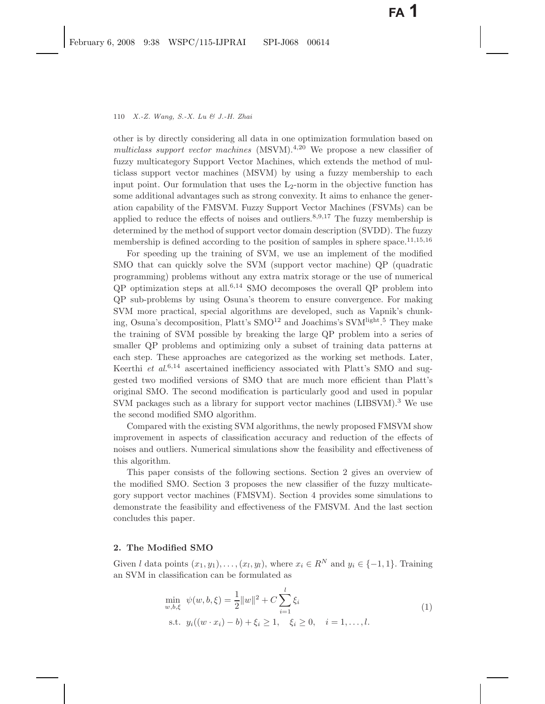other is by directly considering all data in one optimization formulation based on *multiclass support vector machines* (MSVM).<sup>4,20</sup> We propose a new classifier of fuzzy multicategory Support Vector Machines, which extends the method of multiclass support vector machines (MSVM) by using a fuzzy membership to each input point. Our formulation that uses the  $L_2$ -norm in the objective function has some additional advantages such as strong convexity. It aims to enhance the generation capability of the FMSVM. Fuzzy Support Vector Machines (FSVMs) can be applied to reduce the effects of noises and outliers.<sup>8,9,17</sup> The fuzzy membership is determined by the method of support vector domain description (SVDD). The fuzzy membership is defined according to the position of samples in sphere space.<sup>11,15,16</sup>

For speeding up the training of SVM, we use an implement of the modified SMO that can quickly solve the SVM (support vector machine) QP (quadratic programming) problems without any extra matrix storage or the use of numerical  $QP$  optimization steps at all.<sup>6,14</sup> SMO decomposes the overall  $QP$  problem into QP sub-problems by using Osuna's theorem to ensure convergence. For making SVM more practical, special algorithms are developed, such as Vapnik's chunking, Osuna's decomposition, Platt's SMO<sup>12</sup> and Joachims's SVM<sup>light</sup>.<sup>5</sup> They make the training of SVM possible by breaking the large QP problem into a series of smaller QP problems and optimizing only a subset of training data patterns at each step. These approaches are categorized as the working set methods. Later, Keerthi *et al.*<sup>6,14</sup> ascertained inefficiency associated with Platt's SMO and suggested two modified versions of SMO that are much more efficient than Platt's original SMO. The second modification is particularly good and used in popular SVM packages such as a library for support vector machines (LIBSVM).<sup>3</sup> We use the second modified SMO algorithm.

Compared with the existing SVM algorithms, the newly proposed FMSVM show improvement in aspects of classification accuracy and reduction of the effects of noises and outliers. Numerical simulations show the feasibility and effectiveness of this algorithm.

This paper consists of the following sections. Section 2 gives an overview of the modified SMO. Section 3 proposes the new classifier of the fuzzy multicategory support vector machines (FMSVM). Section 4 provides some simulations to demonstrate the feasibility and effectiveness of the FMSVM. And the last section concludes this paper.

# **2. The Modified SMO**

Given l data points  $(x_1, y_1), \ldots, (x_l, y_l)$ , where  $x_i \in \mathbb{R}^N$  and  $y_i \in \{-1, 1\}$ . Training an SVM in classification can be formulated as

$$
\min_{w,b,\xi} \psi(w,b,\xi) = \frac{1}{2} ||w||^2 + C \sum_{i=1}^l \xi_i
$$
  
s.t.  $y_i((w \cdot x_i) - b) + \xi_i \ge 1, \quad \xi_i \ge 0, \quad i = 1, ..., l.$  (1)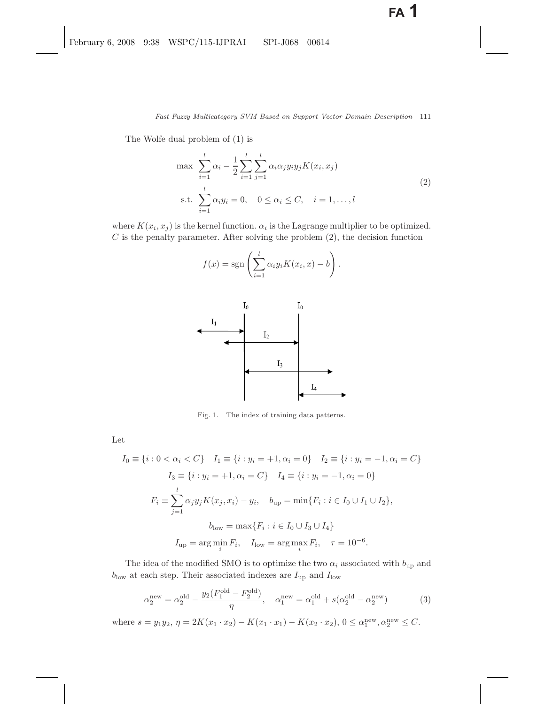The Wolfe dual problem of (1) is

$$
\max \sum_{i=1}^{l} \alpha_i - \frac{1}{2} \sum_{i=1}^{l} \sum_{j=1}^{l} \alpha_i \alpha_j y_i y_j K(x_i, x_j)
$$
  
s.t. 
$$
\sum_{i=1}^{l} \alpha_i y_i = 0, \quad 0 \le \alpha_i \le C, \quad i = 1, ..., l
$$
 (2)

where  $K(x_i, x_j)$  is the kernel function.  $\alpha_i$  is the Lagrange multiplier to be optimized.  $C$  is the penalty parameter. After solving the problem  $(2)$ , the decision function

$$
f(x) = \operatorname{sgn}\left(\sum_{i=1}^{l} \alpha_i y_i K(x_i, x) - b\right).
$$



Fig. 1. The index of training data patterns.

Let

$$
I_0 \equiv \{i : 0 < \alpha_i < C\} \quad I_1 \equiv \{i : y_i = +1, \alpha_i = 0\} \quad I_2 \equiv \{i : y_i = -1, \alpha_i = C\}
$$
\n
$$
I_3 \equiv \{i : y_i = +1, \alpha_i = C\} \quad I_4 \equiv \{i : y_i = -1, \alpha_i = 0\}
$$
\n
$$
F_i \equiv \sum_{j=1}^l \alpha_j y_j K(x_j, x_i) - y_i, \quad b_{\text{up}} = \min\{F_i : i \in I_0 \cup I_1 \cup I_2\},
$$
\n
$$
b_{\text{low}} = \max\{F_i : i \in I_0 \cup I_3 \cup I_4\}
$$
\n
$$
I_{\text{up}} = \arg \min_i F_i, \quad I_{\text{low}} = \arg \max_i F_i, \quad \tau = 10^{-6}.
$$

The idea of the modified SMO is to optimize the two  $\alpha_i$  associated with  $b_{\text{up}}$  and  $b_{\rm low}$  at each step. Their associated indexes are  $I_{\rm up}$  and  $I_{\rm low}$ 

$$
\alpha_2^{\text{new}} = \alpha_2^{\text{old}} - \frac{y_2(F_1^{\text{old}} - F_2^{\text{old}})}{\eta}, \quad \alpha_1^{\text{new}} = \alpha_1^{\text{old}} + s(\alpha_2^{\text{old}} - \alpha_2^{\text{new}})
$$
(3)

where  $s = y_1 y_2$ ,  $\eta = 2K(x_1 \cdot x_2) - K(x_1 \cdot x_1) - K(x_2 \cdot x_2)$ ,  $0 \le \alpha_1^{\text{new}}, \alpha_2^{\text{new}} \le C$ .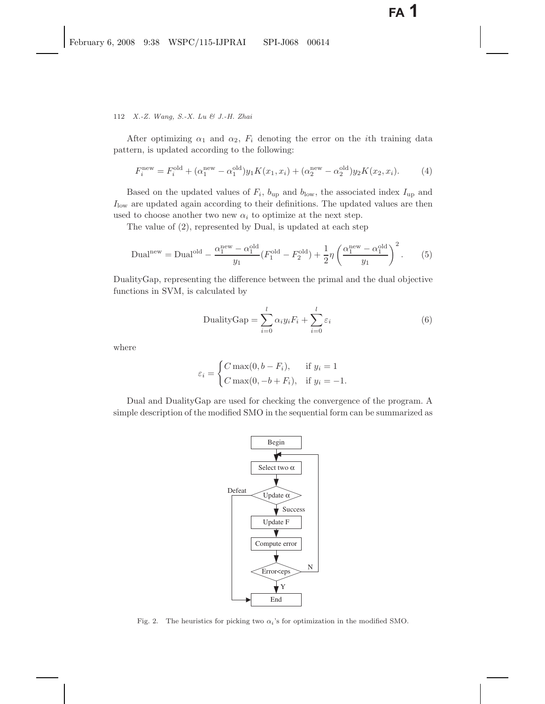112 *X.-Z. Wang, S.-X. Lu & J.-H. Zhai*

After optimizing  $\alpha_1$  and  $\alpha_2$ ,  $F_i$  denoting the error on the *i*th training data pattern, is updated according to the following:

$$
F_i^{\text{new}} = F_i^{\text{old}} + (\alpha_1^{\text{new}} - \alpha_1^{\text{old}}) y_1 K(x_1, x_i) + (\alpha_2^{\text{new}} - \alpha_2^{\text{old}}) y_2 K(x_2, x_i). \tag{4}
$$

Based on the updated values of  $F_i$ ,  $b_{\text{up}}$  and  $b_{\text{low}}$ , the associated index  $I_{\text{up}}$  and  $I_{\text{low}}$  are updated again according to their definitions. The updated values are then used to choose another two new  $\alpha_i$  to optimize at the next step.

The value of (2), represented by Dual, is updated at each step

Dual<sup>new</sup> = Dual<sup>old</sup> - 
$$
\frac{\alpha_1^{\text{new}} - \alpha_1^{\text{old}}}{y_1} (F_1^{\text{old}} - F_2^{\text{old}}) + \frac{1}{2} \eta \left( \frac{\alpha_1^{\text{new}} - \alpha_1^{\text{old}}}{y_1} \right)^2
$$
. (5)

DualityGap, representing the difference between the primal and the dual objective functions in SVM, is calculated by

DualityGap = 
$$
\sum_{i=0}^{l} \alpha_i y_i F_i + \sum_{i=0}^{l} \varepsilon_i
$$
 (6)

where

$$
\varepsilon_i = \begin{cases} C \max(0, b - F_i), & \text{if } y_i = 1 \\ C \max(0, -b + F_i), & \text{if } y_i = -1. \end{cases}
$$

Dual and DualityGap are used for checking the convergence of the program. A simple description of the modified SMO in the sequential form can be summarized as



Fig. 2. The heuristics for picking two  $\alpha_i$ 's for optimization in the modified SMO.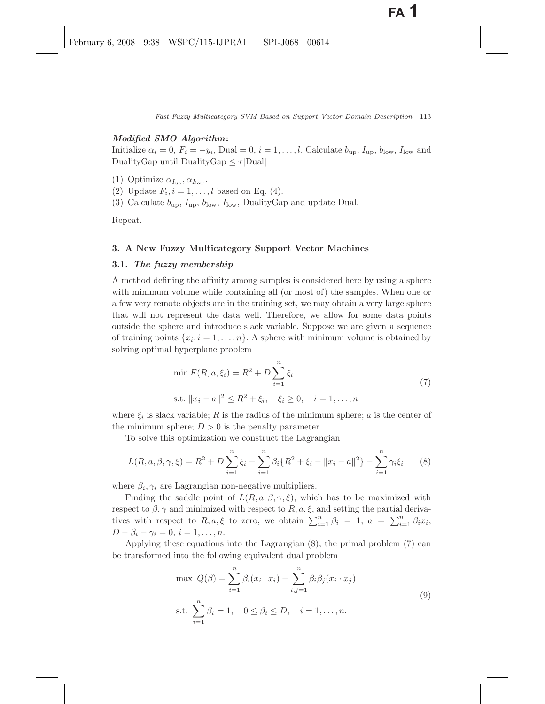### *Modified SMO Algorithm***:**

Initialize  $\alpha_i = 0$ ,  $F_i = -y_i$ , Dual = 0,  $i = 1, \ldots, l$ . Calculate  $b_{\text{up}}$ ,  $I_{\text{up}}$ ,  $b_{\text{low}}$ ,  $I_{\text{low}}$  and DualityGap until DualityGap  $\leq \tau$ |Dual|

- (1) Optimize  $\alpha_{I_{\text{up}}}$ ,  $\alpha_{I_{\text{low}}}$ .
- (2) Update  $F_i$ ,  $i = 1, \ldots, l$  based on Eq. (4).
- (3) Calculate  $b_{\rm up}$ ,  $I_{\rm up}$ ,  $b_{\rm low}$ ,  $I_{\rm low}$ , DualityGap and update Dual.

Repeat.

# **3. A New Fuzzy Multicategory Support Vector Machines**

### **3.1.** *The fuzzy membership*

A method defining the affinity among samples is considered here by using a sphere with minimum volume while containing all (or most of) the samples. When one or a few very remote objects are in the training set, we may obtain a very large sphere that will not represent the data well. Therefore, we allow for some data points outside the sphere and introduce slack variable. Suppose we are given a sequence of training points  $\{x_i, i = 1, \ldots, n\}$ . A sphere with minimum volume is obtained by solving optimal hyperplane problem

$$
\min F(R, a, \xi_i) = R^2 + D \sum_{i=1}^{n} \xi_i
$$
  
s.t.  $||x_i - a||^2 \le R^2 + \xi_i, \quad \xi_i \ge 0, \quad i = 1, ..., n$  (7)

where  $\xi_i$  is slack variable; R is the radius of the minimum sphere; a is the center of the minimum sphere;  $D > 0$  is the penalty parameter.

To solve this optimization we construct the Lagrangian

$$
L(R, a, \beta, \gamma, \xi) = R^2 + D \sum_{i=1}^{n} \xi_i - \sum_{i=1}^{n} \beta_i \{ R^2 + \xi_i - ||x_i - a||^2 \} - \sum_{i=1}^{n} \gamma_i \xi_i
$$
 (8)

where  $\beta_i, \gamma_i$  are Lagrangian non-negative multipliers.

Finding the saddle point of  $L(R, a, \beta, \gamma, \xi)$ , which has to be maximized with respect to  $\beta$ ,  $\gamma$  and minimized with respect to  $R$ ,  $a$ ,  $\xi$ , and setting the partial derivatives with respect to  $R, a, \xi$  to zero, we obtain  $\sum_{i=1}^{n} \beta_i = 1, a = \sum_{i=1}^{n} \beta_i x_i$ ,  $D - \beta_i - \gamma_i = 0, i = 1, \ldots, n.$ 

Applying these equations into the Lagrangian (8), the primal problem (7) can be transformed into the following equivalent dual problem

max 
$$
Q(\beta) = \sum_{i=1}^{n} \beta_i (x_i \cdot x_i) - \sum_{i,j=1}^{n} \beta_i \beta_j (x_i \cdot x_j)
$$
  
s.t.  $\sum_{i=1}^{n} \beta_i = 1, \quad 0 \le \beta_i \le D, \quad i = 1, ..., n.$  (9)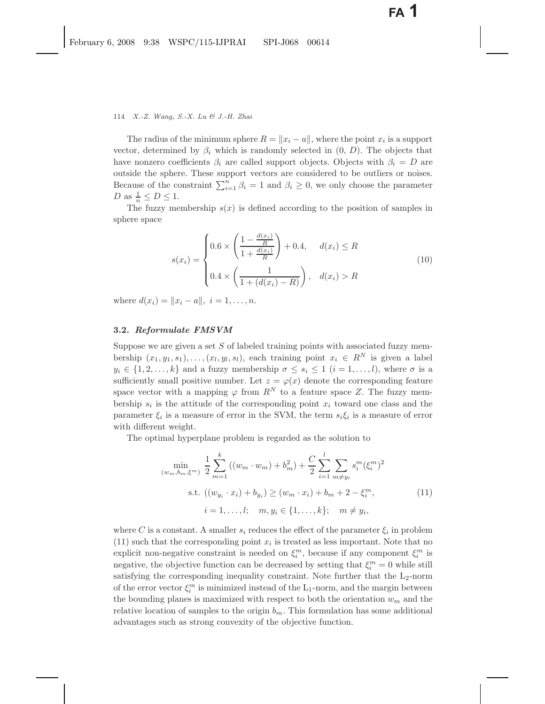### 114 *X.-Z. Wang, S.-X. Lu & J.-H. Zhai*

The radius of the minimum sphere  $R = ||x_i - a||$ , where the point  $x_i$  is a support vector, determined by  $\beta_i$  which is randomly selected in  $(0, D)$ . The objects that have nonzero coefficients  $\beta_i$  are called support objects. Objects with  $\beta_i = D$  are outside the sphere. These support vectors are considered to be outliers or noises. Because of the constraint  $\sum_{i=1}^{n} \beta_i = 1$  and  $\beta_i \geq 0$ , we only choose the parameter D as  $\frac{1}{n} \le D \le 1$ .

The fuzzy membership  $s(x)$  is defined according to the position of samples in sphere space

$$
s(x_i) = \begin{cases} 0.6 \times \left( \frac{1 - \frac{d(x_i)}{R}}{1 + \frac{d(x_i)}{R}} \right) + 0.4, & d(x_i) \le R \\ 0.4 \times \left( \frac{1}{1 + (d(x_i) - R)} \right), & d(x_i) > R \end{cases}
$$
(10)

where  $d(x_i) = ||x_i - a||, i = 1, ..., n$ .

### **3.2.** *Reformulate FMSVM*

Suppose we are given a set  $S$  of labeled training points with associated fuzzy membership  $(x_1, y_1, s_1), \ldots, (x_l, y_l, s_l)$ , each training point  $x_i \in R^N$  is given a label  $y_i \in \{1, 2, ..., k\}$  and a fuzzy membership  $\sigma \leq s_i \leq 1$   $(i = 1, ..., l)$ , where  $\sigma$  is a sufficiently small positive number. Let  $z = \varphi(x)$  denote the corresponding feature space vector with a mapping  $\varphi$  from  $R^N$  to a feature space Z. The fuzzy membership  $s_i$  is the attitude of the corresponding point  $x_i$  toward one class and the parameter  $\xi_i$  is a measure of error in the SVM, the term  $s_i\xi_i$  is a measure of error with different weight.

The optimal hyperplane problem is regarded as the solution to

$$
\min_{(w_m, b_m, \xi^m)} \frac{1}{2} \sum_{m=1}^k ((w_m \cdot w_m) + b_m^2) + \frac{C}{2} \sum_{i=1}^l \sum_{m \neq y_i} s_i^m (\xi_i^m)^2
$$
\n
$$
\text{s.t. } ((w_{y_i} \cdot x_i) + b_{y_i}) \ge (w_m \cdot x_i) + b_m + 2 - \xi_i^m,
$$
\n
$$
i = 1, \dots, l; \quad m, y_i \in \{1, \dots, k\}; \quad m \neq y_i,
$$
\n
$$
(11)
$$

where C is a constant. A smaller  $s_i$  reduces the effect of the parameter  $\xi_i$  in problem  $(11)$  such that the corresponding point  $x_i$  is treated as less important. Note that no explicit non-negative constraint is needed on  $\xi_i^m$ , because if any component  $\xi_i^m$  is negative, the objective function can be decreased by setting that  $\xi_i^m = 0$  while still satisfying the corresponding inequality constraint. Note further that the  $L_2$ -norm of the error vector  $\xi_i^m$  is minimized instead of the L<sub>1</sub>-norm, and the margin between the bounding planes is maximized with respect to both the orientation  $w_m$  and the relative location of samples to the origin  $b_m$ . This formulation has some additional advantages such as strong convexity of the objective function.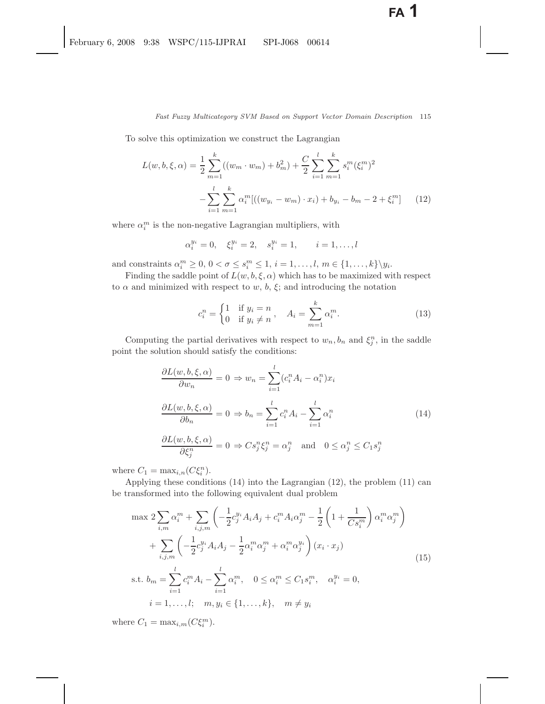To solve this optimization we construct the Lagrangian

$$
L(w, b, \xi, \alpha) = \frac{1}{2} \sum_{m=1}^{k} ((w_m \cdot w_m) + b_m^2) + \frac{C}{2} \sum_{i=1}^{l} \sum_{m=1}^{k} s_i^m (\xi_i^m)^2 - \sum_{i=1}^{l} \sum_{m=1}^{k} \alpha_i^m [((w_{y_i} - w_m) \cdot x_i) + b_{y_i} - b_m - 2 + \xi_i^m]
$$
 (12)

where  $\alpha_i^m$  is the non-negative Lagrangian multipliers, with

$$
\alpha_i^{y_i} = 0, \quad \xi_i^{y_i} = 2, \quad s_i^{y_i} = 1, \quad i = 1, \ldots, l
$$

and constraints  $\alpha_i^m \geq 0, 0 < \sigma \leq s_i^m \leq 1, i = 1, \ldots, l, m \in \{1, \ldots, k\} \backslash y_i$ .

Finding the saddle point of  $L(w, b, \xi, \alpha)$  which has to be maximized with respect to  $\alpha$  and minimized with respect to w, b,  $\xi$ ; and introducing the notation

$$
c_i^n = \begin{cases} 1 & \text{if } y_i = n \\ 0 & \text{if } y_i \neq n \end{cases}, \quad A_i = \sum_{m=1}^k \alpha_i^m. \tag{13}
$$

Computing the partial derivatives with respect to  $w_n, b_n$  and  $\xi_i^n$ , in the saddle point the solution should satisfy the conditions:

$$
\frac{\partial L(w, b, \xi, \alpha)}{\partial w_n} = 0 \Rightarrow w_n = \sum_{i=1}^l (c_i^n A_i - \alpha_i^n) x_i
$$

$$
\frac{\partial L(w, b, \xi, \alpha)}{\partial b_n} = 0 \Rightarrow b_n = \sum_{i=1}^l c_i^n A_i - \sum_{i=1}^l \alpha_i^n
$$

$$
\frac{\partial L(w, b, \xi, \alpha)}{\partial \xi_j^n} = 0 \Rightarrow Cs_j^n \xi_j^n = \alpha_j^n \text{ and } 0 \le \alpha_j^n \le C_1 s_j^n
$$

$$
(14)
$$

where  $C_1 = \max_{i,n} (C\xi_i^n)$ .

Applying these conditions (14) into the Lagrangian (12), the problem (11) can be transformed into the following equivalent dual problem

$$
\max 2 \sum_{i,m} \alpha_i^m + \sum_{i,j,m} \left( -\frac{1}{2} c_j^{y_i} A_i A_j + c_i^m A_i \alpha_j^m - \frac{1}{2} \left( 1 + \frac{1}{Cs_i^m} \right) \alpha_i^m \alpha_j^m \right) + \sum_{i,j,m} \left( -\frac{1}{2} c_j^{y_i} A_i A_j - \frac{1}{2} \alpha_i^m \alpha_j^m + \alpha_i^m \alpha_j^{y_i} \right) (x_i \cdot x_j) \text{s.t. } b_m = \sum_{i=1}^l c_i^m A_i - \sum_{i=1}^l \alpha_i^m, \quad 0 \le \alpha_i^m \le C_1 s_i^m, \quad \alpha_i^{y_i} = 0, \n i = 1, ..., l; \quad m, y_i \in \{1, ..., k\}, \quad m \ne y_i
$$
\n(15)

where  $C_1 = \max_{i,m} (C \xi_i^m)$ .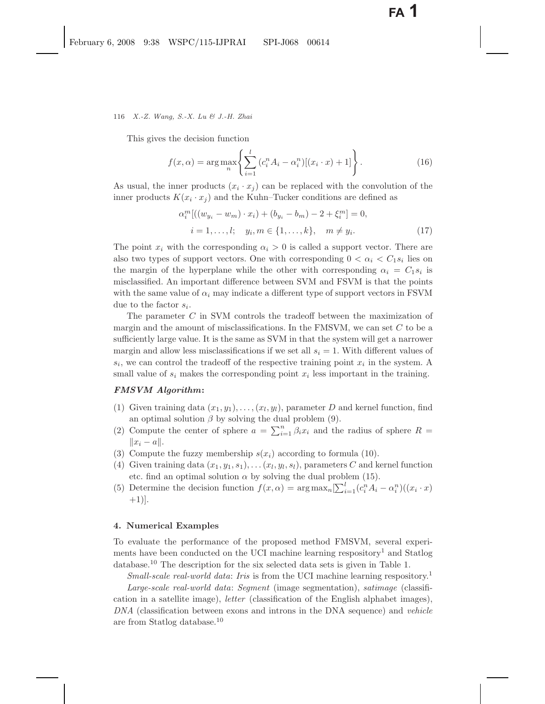#### 116 *X.-Z. Wang, S.-X. Lu & J.-H. Zhai*

This gives the decision function

$$
f(x,\alpha) = \arg \max_{n} \left\{ \sum_{i=1}^{l} (c_i^n A_i - \alpha_i^n) [(x_i \cdot x) + 1] \right\}.
$$
 (16)

As usual, the inner products  $(x_i \cdot x_j)$  can be replaced with the convolution of the inner products  $K(x_i \cdot x_j)$  and the Kuhn–Tucker conditions are defined as

$$
\alpha_i^m [((w_{y_i} - w_m) \cdot x_i) + (b_{y_i} - b_m) - 2 + \xi_i^m] = 0,\ni = 1, ..., l; \quad y_i, m \in \{1, ..., k\}, \quad m \neq y_i.
$$
\n(17)

The point  $x_i$  with the corresponding  $\alpha_i > 0$  is called a support vector. There are also two types of support vectors. One with corresponding  $0 < \alpha_i < C_1 s_i$  lies on the margin of the hyperplane while the other with corresponding  $\alpha_i = C_1 s_i$  is misclassified. An important difference between SVM and FSVM is that the points with the same value of  $\alpha_i$  may indicate a different type of support vectors in FSVM due to the factor  $s_i$ .

The parameter C in SVM controls the tradeoff between the maximization of margin and the amount of misclassifications. In the FMSVM, we can set  $C$  to be a sufficiently large value. It is the same as SVM in that the system will get a narrower margin and allow less misclassifications if we set all  $s<sub>i</sub> = 1$ . With different values of  $s_i$ , we can control the tradeoff of the respective training point  $x_i$  in the system. A small value of  $s_i$  makes the corresponding point  $x_i$  less important in the training.

### *FMSVM Algorithm***:**

- (1) Given training data  $(x_1, y_1), \ldots, (x_l, y_l)$ , parameter D and kernel function, find an optimal solution  $\beta$  by solving the dual problem (9).
- (2) Compute the center of sphere  $a = \sum_{i=1}^{n} \beta_i x_i$  and the radius of sphere  $R =$  $||x_i - a||.$
- (3) Compute the fuzzy membership  $s(x_i)$  according to formula (10).
- (4) Given training data  $(x_1, y_1, s_1), \ldots (x_l, y_l, s_l)$ , parameters C and kernel function etc. find an optimal solution  $\alpha$  by solving the dual problem (15).
- (5) Determine the decision function  $f(x, \alpha) = \arg \max_{n} \left[ \sum_{i=1}^{l} (c_i^n A_i \alpha_i^n) ((x_i \cdot x) \right]$  $+1$ ].

### **4. Numerical Examples**

To evaluate the performance of the proposed method FMSVM, several experiments have been conducted on the UCI machine learning respository<sup>1</sup> and Statlog database.<sup>10</sup> The description for the six selected data sets is given in Table 1.

*Small-scale real-world data: Iris* is from the UCI machine learning respository.<sup>1</sup>

*Large-scale real-world data*: *Segment* (image segmentation), *satimage* (classification in a satellite image), *letter* (classification of the English alphabet images), *DNA* (classification between exons and introns in the DNA sequence) and *vehicle* are from Statlog database.<sup>10</sup>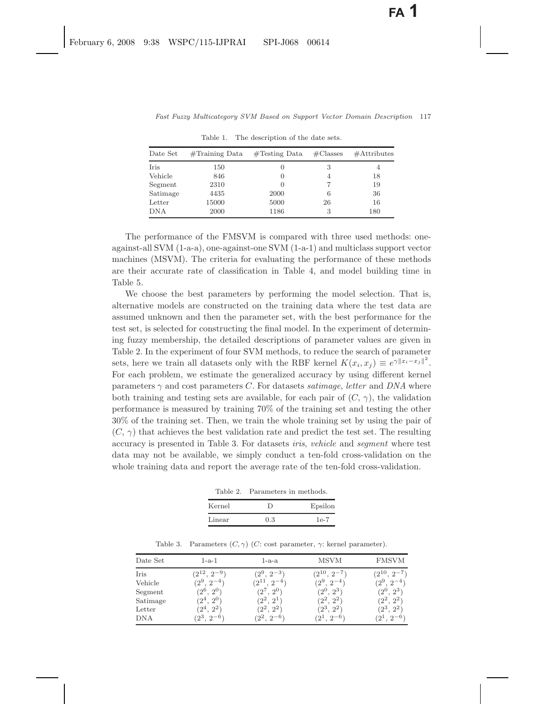| Date Set   | $\#\text{Training Data}$ | $\#\text{Testing Data}$ | $\#\text{Classes}$ | $#$ Attributes |
|------------|--------------------------|-------------------------|--------------------|----------------|
| Iris       | 150                      |                         |                    | 4              |
| Vehicle    | 846                      | $\left( \right)$        | 4                  | 18             |
| Segment    | 2310                     |                         |                    | 19             |
| Satimage   | 4435                     | 2000                    | 6                  | 36             |
| Letter     | 15000                    | 5000                    | 26                 | 16             |
| <b>DNA</b> | 2000                     | 1186                    |                    | 180            |
|            |                          |                         |                    |                |

Table 1. The description of the date sets.

The performance of the FMSVM is compared with three used methods: oneagainst-all SVM (1-a-a), one-against-one SVM (1-a-1) and multiclass support vector machines (MSVM). The criteria for evaluating the performance of these methods are their accurate rate of classification in Table 4, and model building time in Table 5.

We choose the best parameters by performing the model selection. That is, alternative models are constructed on the training data where the test data are assumed unknown and then the parameter set, with the best performance for the test set, is selected for constructing the final model. In the experiment of determining fuzzy membership, the detailed descriptions of parameter values are given in Table 2. In the experiment of four SVM methods, to reduce the search of parameter sets, here we train all datasets only with the RBF kernel  $K(x_i, x_j) \equiv e^{\gamma ||x_i - x_j||^2}$ . For each problem, we estimate the generalized accuracy by using different kernel parameters  $\gamma$  and cost parameters C. For datasets *satimage*, *letter* and *DNA* where both training and testing sets are available, for each pair of  $(C, \gamma)$ , the validation performance is measured by training 70% of the training set and testing the other 30% of the training set. Then, we train the whole training set by using the pair of  $(C, \gamma)$  that achieves the best validation rate and predict the test set. The resulting accuracy is presented in Table 3. For datasets *iris*, *vehicle* and *segment* where test data may not be available, we simply conduct a ten-fold cross-validation on the whole training data and report the average rate of the ten-fold cross-validation.

Table 2. Parameters in methods.

| Kernel |     | Epsilon |
|--------|-----|---------|
| Linear | 0.3 | 1e-7    |

| Table 3. Parameters $(C, \gamma)$ $(C$ : cost parameter, $\gamma$ : kernel parameter). |  |  |  |  |  |  |  |
|----------------------------------------------------------------------------------------|--|--|--|--|--|--|--|
|----------------------------------------------------------------------------------------|--|--|--|--|--|--|--|

| Date Set   | $1-a-1$            | $1-a-a$               | MSVM               | <b>FMSVM</b>       |
|------------|--------------------|-----------------------|--------------------|--------------------|
| Iris       | $(2^{12}, 2^{-9})$ | $(2^9, 2^{-3})$       | $(2^{10}, 2^{-7})$ | $(2^{10}, 2^{-7})$ |
| Vehicle    | $(2^9, 2^{-4})$    | $'2^{11}$<br>$2^{-4}$ | $(2^9, 2^{-4})$    | $(2^9, 2^{-4})$    |
| Segment    | $(2^6, 2^0)$       | $(2^7,\,2^0)$         | $(2^0, 2^3)$       | $(2^0, 2^3)$       |
| Satimage   | $(2^4, 2^0)$       | $(2^2, 2^1)$          | $(2^2, 2^2)$       | $(2^2, 2^2)$       |
| Letter     | ${2^4,\,2^2}$      | $(2^2, 2^2)$          | $(2^3,\, 2^2)$     | $(2^3, 2^2)$       |
| <b>DNA</b> | $(2^3, 2^{-6})$    | $(2^2, 2^{-6})$       | $(2^1, 2^{-6})$    | $(2^1, 2^{-6})$    |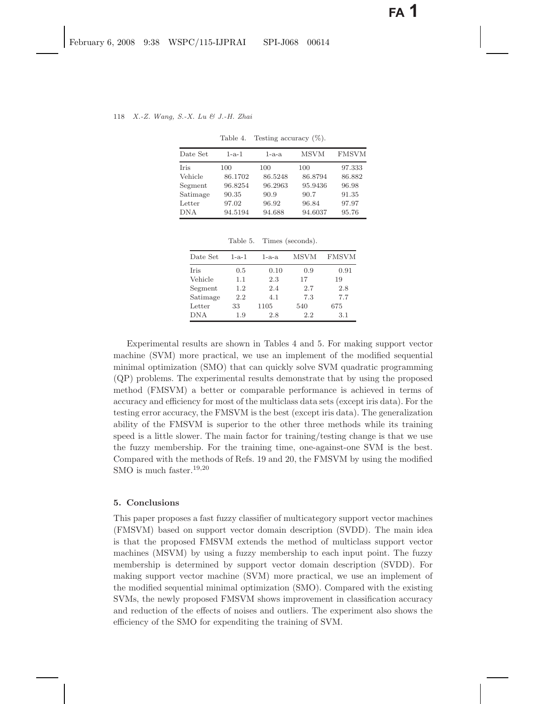| Date Set   | $1 - a - 1$ | $1-a-a$ | <b>MSVM</b> | <b>FMSVM</b> |
|------------|-------------|---------|-------------|--------------|
| Iris       | 100         | 100     | 100         | 97.333       |
| Vehicle    | 86.1702     | 86.5248 | 86.8794     | 86.882       |
| Segment    | 96.8254     | 96.2963 | 95.9436     | 96.98        |
| Satimage   | 90.35       | 90.9    | 90.7        | 91.35        |
| Letter     | 97.02       | 96.92   | 96.84       | 97.97        |
| <b>DNA</b> | 94.5194     | 94.688  | 94.6037     | 95.76        |

Table 4. Testing accuracy  $(\%)$ .

|      | 94.5194 | 94.688  | 94.6037 | 95.7 |
|------|---------|---------|---------|------|
| эr   | 97.02   | 96.92   | 96.84   | 97.9 |
| nage | 90.35   | 90.9    | 90.7    | 91.3 |
| nent | 96.8254 | 96.2963 | 95.9436 | 96.9 |
| ULT  | 00.1104 | 00.0440 | 00.0104 | ou.c |

Table 5. Times (seconds).

| Date Set    | $1 - a - 1$ | $1-a-a$ | <b>MSVM</b> | <b>FMSVM</b> |
|-------------|-------------|---------|-------------|--------------|
| <b>Iris</b> | 0.5         | 0.10    | 0.9         | 0.91         |
| Vehicle     | 1.1         | 2.3     | 17          | 19           |
| Segment     | 1.2         | 2.4     | 2.7         | 2.8          |
| Satimage    | 2.2         | 4.1     | 7.3         | 7.7          |
| Letter      | 33          | 1105    | 540         | 675          |
| <b>DNA</b>  | 1.9         | 2.8     | 2.2         | 3.1          |

Experimental results are shown in Tables 4 and 5. For making support vector machine (SVM) more practical, we use an implement of the modified sequential minimal optimization (SMO) that can quickly solve SVM quadratic programming (QP) problems. The experimental results demonstrate that by using the proposed method (FMSVM) a better or comparable performance is achieved in terms of accuracy and efficiency for most of the multiclass data sets (except iris data). For the testing error accuracy, the FMSVM is the best (except iris data). The generalization ability of the FMSVM is superior to the other three methods while its training speed is a little slower. The main factor for training/testing change is that we use the fuzzy membership. For the training time, one-against-one SVM is the best. Compared with the methods of Refs. 19 and 20, the FMSVM by using the modified SMO is much faster.<sup>19</sup>,<sup>20</sup>

### **5. Conclusions**

This paper proposes a fast fuzzy classifier of multicategory support vector machines (FMSVM) based on support vector domain description (SVDD). The main idea is that the proposed FMSVM extends the method of multiclass support vector machines (MSVM) by using a fuzzy membership to each input point. The fuzzy membership is determined by support vector domain description (SVDD). For making support vector machine (SVM) more practical, we use an implement of the modified sequential minimal optimization (SMO). Compared with the existing SVMs, the newly proposed FMSVM shows improvement in classification accuracy and reduction of the effects of noises and outliers. The experiment also shows the efficiency of the SMO for expenditing the training of SVM.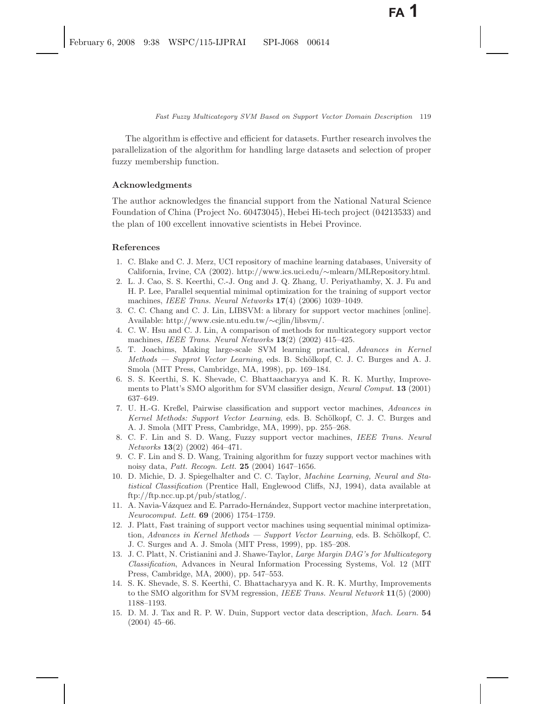The algorithm is effective and efficient for datasets. Further research involves the parallelization of the algorithm for handling large datasets and selection of proper fuzzy membership function.

### **Acknowledgments**

The author acknowledges the financial support from the National Natural Science Foundation of China (Project No. 60473045), Hebei Hi-tech project (04213533) and the plan of 100 excellent innovative scientists in Hebei Province.

### **References**

- 1. C. Blake and C. J. Merz, UCI repository of machine learning databases, University of California, Irvine, CA (2002). http://www.ics.uci.edu/∼mlearn/MLRepository.html.
- 2. L. J. Cao, S. S. Keerthi, C.-J. Ong and J. Q. Zhang, U. Periyathamby, X. J. Fu and H. P. Lee, Parallel sequential minimal optimization for the training of support vector machines, *IEEE Trans. Neural Networks* **17**(4) (2006) 1039–1049.
- 3. C. C. Chang and C. J. Lin, LIBSVM: a library for support vector machines [online]. Available: http://www.csie.ntu.edu.tw/∼cjlin/libsvm/.
- 4. C. W. Hsu and C. J. Lin, A comparison of methods for multicategory support vector machines, *IEEE Trans. Neural Networks* **13**(2) (2002) 415–425.
- 5. T. Joachims, Making large-scale SVM learning practical, *Advances in Kernel Methods — Supprot Vector Learning*, eds. B. Schölkopf, C. J. C. Burges and A. J. Smola (MIT Press, Cambridge, MA, 1998), pp. 169–184.
- 6. S. S. Keerthi, S. K. Shevade, C. Bhattaacharyya and K. R. K. Murthy, Improvements to Platt's SMO algorithm for SVM classifier design, *Neural Comput.* **13** (2001) 637–649.
- 7. U. H.-G. Kreßel, Pairwise classification and support vector machines, *Advances in Kernel Methods: Support Vector Learning*, eds. B. Schölkopf, C. J. C. Burges and A. J. Smola (MIT Press, Cambridge, MA, 1999), pp. 255–268.
- 8. C. F. Lin and S. D. Wang, Fuzzy support vector machines, *IEEE Trans. Neural Networks* **13**(2) (2002) 464–471.
- 9. C. F. Lin and S. D. Wang, Training algorithm for fuzzy support vector machines with noisy data, *Patt. Recogn. Lett.* **25** (2004) 1647–1656.
- 10. D. Michie, D. J. Spiegelhalter and C. C. Taylor, *Machine Learning, Neural and Statistical Classification* (Prentice Hall, Englewood Cliffs, NJ, 1994), data available at ftp://ftp.ncc.up.pt/pub/statlog/.
- 11. A. Navia-V´azquez and E. Parrado-Hern´andez, Support vector machine interpretation, *Neurocomput. Lett.* **69** (2006) 1754–1759.
- 12. J. Platt, Fast training of support vector machines using sequential minimal optimization, *Advances in Kernel Methods — Support Vector Learning*, eds. B. Schölkopf, C. J. C. Surges and A. J. Smola (MIT Press, 1999), pp. 185–208.
- 13. J. C. Platt, N. Cristianini and J. Shawe-Taylor, *Large Margin DAG's for Multicategory Classification*, Advances in Neural Information Processing Systems, Vol. 12 (MIT Press, Cambridge, MA, 2000), pp. 547–553.
- 14. S. K. Shevade, S. S. Keerthi, C. Bhattacharyya and K. R. K. Murthy, Improvements to the SMO algorithm for SVM regression, *IEEE Trans. Neural Network* **11**(5) (2000) 1188–1193.
- 15. D. M. J. Tax and R. P. W. Duin, Support vector data description, *Mach. Learn.* **54** (2004) 45–66.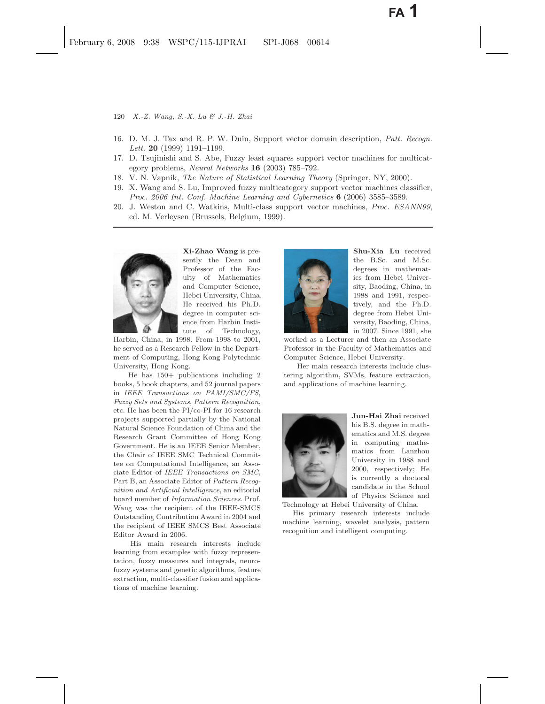- 120 *X.-Z. Wang, S.-X. Lu & J.-H. Zhai*
- 16. D. M. J. Tax and R. P. W. Duin, Support vector domain description, *Patt. Recogn. Lett.* **20** (1999) 1191–1199.
- 17. D. Tsujinishi and S. Abe, Fuzzy least squares support vector machines for multicategory problems, *Neural Networks* **16** (2003) 785–792.
- 18. V. N. Vapnik, *The Nature of Statistical Learning Theory* (Springer, NY, 2000).
- 19. X. Wang and S. Lu, Improved fuzzy multicategory support vector machines classifier, *Proc. 2006 Int. Conf. Machine Learning and Cybernetics* **6** (2006) 3585–3589.
- 20. J. Weston and C. Watkins, Multi-class support vector machines, *Proc. ESANN99*, ed. M. Verleysen (Brussels, Belgium, 1999).



**Xi-Zhao Wang** is presently the Dean and Professor of the Faculty of Mathematics and Computer Science, Hebei University, China. He received his Ph.D. degree in computer science from Harbin Institute of Technology,

Harbin, China, in 1998. From 1998 to 2001, he served as a Research Fellow in the Department of Computing, Hong Kong Polytechnic University, Hong Kong.

He has 150+ publications including 2 books, 5 book chapters, and 52 journal papers in *IEEE Transactions on PAMI/SMC/FS*, *Fuzzy Sets and Systems*, *Pattern Recognition*, etc. He has been the PI/co-PI for 16 research projects supported partially by the National Natural Science Foundation of China and the Research Grant Committee of Hong Kong Government. He is an IEEE Senior Member, the Chair of IEEE SMC Technical Committee on Computational Intelligence, an Associate Editor of *IEEE Transactions on SMC*, Part B, an Associate Editor of *Pattern Recognition and Artificial Intelligence*, an editorial board member of *Information Sciences*. Prof. Wang was the recipient of the IEEE-SMCS Outstanding Contribution Award in 2004 and the recipient of IEEE SMCS Best Associate Editor Award in 2006.

His main research interests include learning from examples with fuzzy representation, fuzzy measures and integrals, neurofuzzy systems and genetic algorithms, feature extraction, multi-classifier fusion and applications of machine learning.



**Shu-Xia Lu** received the B.Sc. and M.Sc. degrees in mathematics from Hebei University, Baoding, China, in 1988 and 1991, respectively, and the Ph.D. degree from Hebei University, Baoding, China, in 2007. Since 1991, she

worked as a Lecturer and then an Associate Professor in the Faculty of Mathematics and Computer Science, Hebei University.

Her main research interests include clustering algorithm, SVMs, feature extraction, and applications of machine learning.



**Jun-Hai Zhai** received his B.S. degree in mathematics and M.S. degree in computing mathematics from Lanzhou University in 1988 and 2000, respectively; He is currently a doctoral candidate in the School of Physics Science and

Technology at Hebei University of China.

His primary research interests include machine learning, wavelet analysis, pattern recognition and intelligent computing.